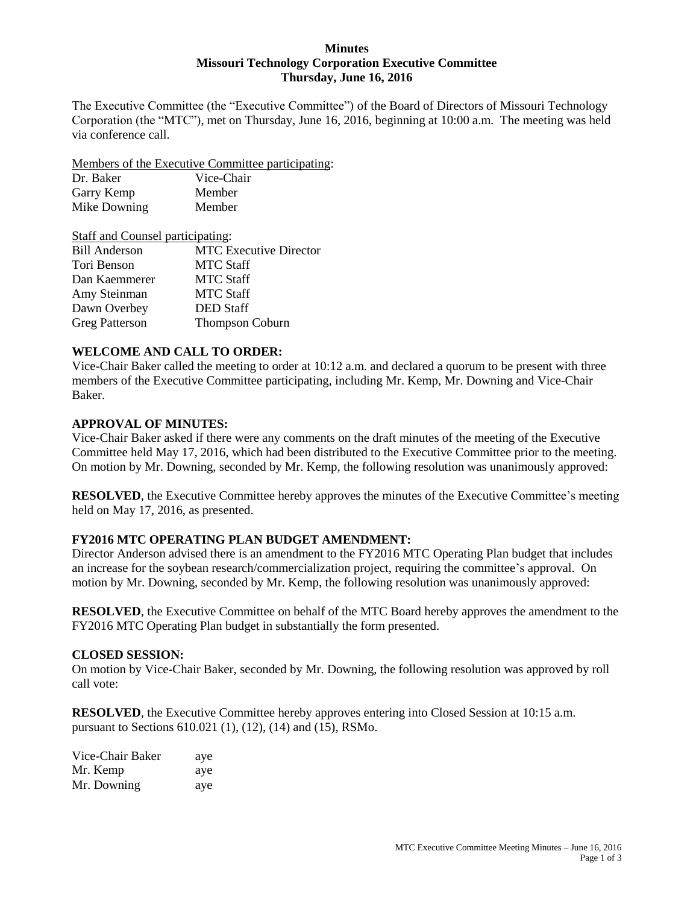## **Minutes Missouri Technology Corporation Executive Committee Thursday, June 16, 2016**

The Executive Committee (the "Executive Committee") of the Board of Directors of Missouri Technology Corporation (the "MTC"), met on Thursday, June 16, 2016, beginning at 10:00 a.m. The meeting was held via conference call.

Members of the Executive Committee participating:

| Dr. Baker    | Vice-Chair |
|--------------|------------|
| Garry Kemp   | Member     |
| Mike Downing | Member     |

| Staff and Counsel participating: |
|----------------------------------|
| <b>MTC</b> Executive Director    |
| <b>MTC Staff</b>                 |
| <b>MTC Staff</b>                 |
| <b>MTC Staff</b>                 |
| <b>DED</b> Staff                 |
| <b>Thompson Coburn</b>           |
|                                  |

# **WELCOME AND CALL TO ORDER:**

Vice-Chair Baker called the meeting to order at 10:12 a.m. and declared a quorum to be present with three members of the Executive Committee participating, including Mr. Kemp, Mr. Downing and Vice-Chair Baker.

## **APPROVAL OF MINUTES:**

Vice-Chair Baker asked if there were any comments on the draft minutes of the meeting of the Executive Committee held May 17, 2016, which had been distributed to the Executive Committee prior to the meeting. On motion by Mr. Downing, seconded by Mr. Kemp, the following resolution was unanimously approved:

**RESOLVED**, the Executive Committee hereby approves the minutes of the Executive Committee's meeting held on May 17, 2016, as presented.

# **FY2016 MTC OPERATING PLAN BUDGET AMENDMENT:**

Director Anderson advised there is an amendment to the FY2016 MTC Operating Plan budget that includes an increase for the soybean research/commercialization project, requiring the committee's approval. On motion by Mr. Downing, seconded by Mr. Kemp, the following resolution was unanimously approved:

**RESOLVED**, the Executive Committee on behalf of the MTC Board hereby approves the amendment to the FY2016 MTC Operating Plan budget in substantially the form presented.

## **CLOSED SESSION:**

On motion by Vice-Chair Baker, seconded by Mr. Downing, the following resolution was approved by roll call vote:

**RESOLVED**, the Executive Committee hereby approves entering into Closed Session at 10:15 a.m. pursuant to Sections 610.021 (1), (12), (14) and (15), RSMo.

| Vice-Chair Baker | aye |
|------------------|-----|
| Mr. Kemp         | aye |
| Mr. Downing      | aye |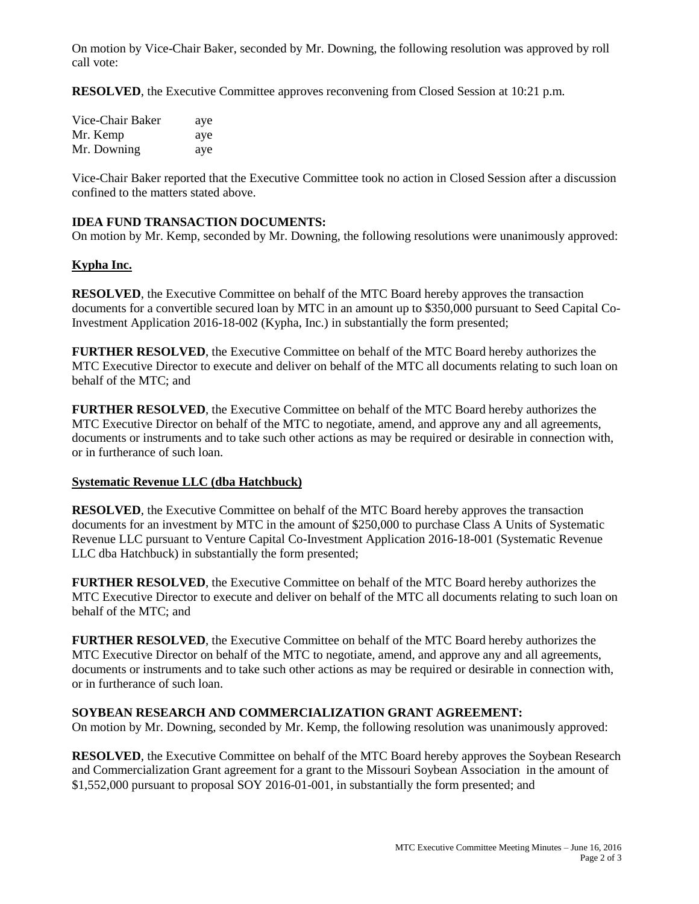On motion by Vice-Chair Baker, seconded by Mr. Downing, the following resolution was approved by roll call vote:

**RESOLVED**, the Executive Committee approves reconvening from Closed Session at 10:21 p.m.

| Vice-Chair Baker | aye |
|------------------|-----|
| Mr. Kemp         | aye |
| Mr. Downing      | aye |

Vice-Chair Baker reported that the Executive Committee took no action in Closed Session after a discussion confined to the matters stated above.

# **IDEA FUND TRANSACTION DOCUMENTS:**

On motion by Mr. Kemp, seconded by Mr. Downing, the following resolutions were unanimously approved:

#### **Kypha Inc.**

**RESOLVED**, the Executive Committee on behalf of the MTC Board hereby approves the transaction documents for a convertible secured loan by MTC in an amount up to \$350,000 pursuant to Seed Capital Co-Investment Application 2016-18-002 (Kypha, Inc.) in substantially the form presented;

**FURTHER RESOLVED**, the Executive Committee on behalf of the MTC Board hereby authorizes the MTC Executive Director to execute and deliver on behalf of the MTC all documents relating to such loan on behalf of the MTC; and

**FURTHER RESOLVED**, the Executive Committee on behalf of the MTC Board hereby authorizes the MTC Executive Director on behalf of the MTC to negotiate, amend, and approve any and all agreements, documents or instruments and to take such other actions as may be required or desirable in connection with, or in furtherance of such loan.

#### **Systematic Revenue LLC (dba Hatchbuck)**

**RESOLVED**, the Executive Committee on behalf of the MTC Board hereby approves the transaction documents for an investment by MTC in the amount of \$250,000 to purchase Class A Units of Systematic Revenue LLC pursuant to Venture Capital Co-Investment Application 2016-18-001 (Systematic Revenue LLC dba Hatchbuck) in substantially the form presented;

**FURTHER RESOLVED**, the Executive Committee on behalf of the MTC Board hereby authorizes the MTC Executive Director to execute and deliver on behalf of the MTC all documents relating to such loan on behalf of the MTC; and

**FURTHER RESOLVED**, the Executive Committee on behalf of the MTC Board hereby authorizes the MTC Executive Director on behalf of the MTC to negotiate, amend, and approve any and all agreements, documents or instruments and to take such other actions as may be required or desirable in connection with, or in furtherance of such loan.

#### **SOYBEAN RESEARCH AND COMMERCIALIZATION GRANT AGREEMENT:**

On motion by Mr. Downing, seconded by Mr. Kemp, the following resolution was unanimously approved:

**RESOLVED**, the Executive Committee on behalf of the MTC Board hereby approves the Soybean Research and Commercialization Grant agreement for a grant to the Missouri Soybean Association in the amount of \$1,552,000 pursuant to proposal SOY 2016-01-001, in substantially the form presented; and